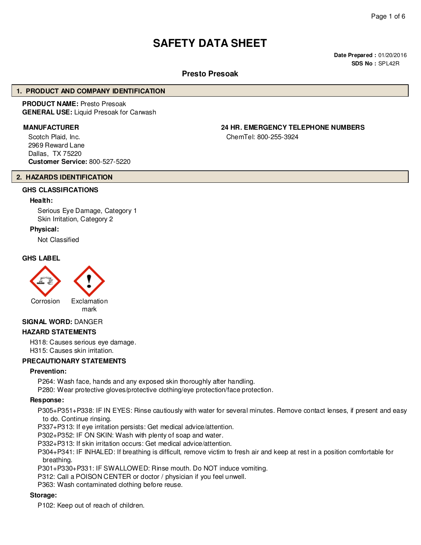# **SAFETY DATA SHEET**

**Date Prepared :** 01/20/2016 **SDS No :** SPL42R

# **Presto Presoak**

#### **1. PRODUCT AND COMPANY IDENTIFICATION**

**PRODUCT NAME:** Presto Presoak **GENERAL USE:** Liquid Presoak for Carwash

Scotch Plaid, Inc. 2969 Reward Lane Dallas, TX 75220 **Customer Service:** 800-527-5220

# **MANUFACTURER 24 HR. EMERGENCY TELEPHONE NUMBERS**

ChemTel: 800-255-3924

#### **2. HAZARDS IDENTIFICATION**

# **GHS CLASSIFICATIONS**

#### **Health:**

Serious Eye Damage, Category 1 Skin Irritation, Category 2

#### **Physical:**

Not Classified

#### **GHS LABEL**



#### **SIGNAL WORD:** DANGER

#### **HAZARD STATEMENTS**

H318: Causes serious eye damage. H315: Causes skin irritation.

#### **PRECAUTIONARY STATEMENTS**

#### **Prevention:**

P264: Wash face, hands and any exposed skin thoroughly after handling.

P280: Wear protective gloves/protective clothing/eye protection/face protection.

#### **Response:**

P305+P351+P338: IF IN EYES: Rinse cautiously with water for several minutes. Remove contact lenses, if present and easy to do. Continue rinsing.

P337+P313: If eye irritation persists: Get medical advice/attention.

P302+P352: IF ON SKIN: Wash with plenty of soap and water.

P332+P313: If skin irritation occurs: Get medical advice/attention.

P304+P341: IF INHALED: If breathing is difficult, remove victim to fresh air and keep at rest in a position comfortable for breathing.

P301+P330+P331: IF SWALLOWED: Rinse mouth. Do NOT induce vomiting.

P312: Call a POISON CENTER or doctor / physician if you feel unwell.

P363: Wash contaminated clothing before reuse.

#### **Storage:**

P102: Keep out of reach of children.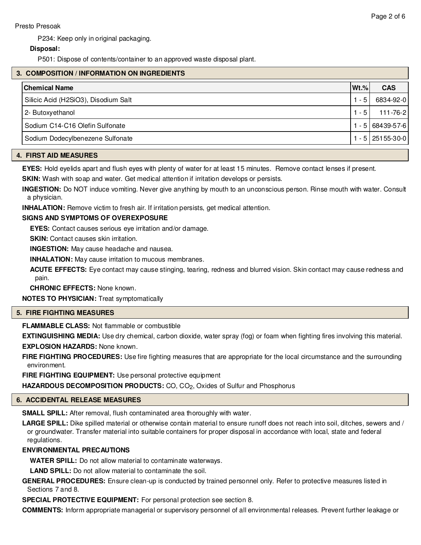# **Disposal:**

P501: Dispose of contents/container to an approved waste disposal plant.

# **3. COMPOSITION / INFORMATION ON INGREDIENTS**

| <b>Chemical Name</b>                 | $ Wt.\% $ | <b>CAS</b>        |
|--------------------------------------|-----------|-------------------|
| Silicic Acid (H2SiO3), Disodium Salt | - 5       | 6834-92-0         |
| 2- Butoxyethanol                     | $-5$      | $111 - 76 - 2$    |
| Sodium C14-C16 Olefin Sulfonate      |           | - 5 68439-57-6    |
| Sodium Dodecylbenezene Sulfonate     |           | - 5   251 55-30-0 |

#### **4. FIRST AID MEASURES**

**EYES:** Hold eyelids apart and flush eyes with plenty of water for at least 15 minutes. Remove contact lenses if present.

**SKIN:** Wash with soap and water. Get medical attention if irritation develops or persists.

**INGESTION:** Do NOT induce vomiting. Never give anything by mouth to an unconscious person. Rinse mouth with water. Consult a physician.

**INHALATION:** Remove victim to fresh air. If irritation persists, get medical attention.

# **SIGNS AND SYMPTOMS OF OVEREXPOSURE**

**EYES:** Contact causes serious eye irritation and/or damage.

**SKIN:** Contact causes skin irritation.

**INGESTION:** May cause headache and nausea.

**INHALATION:** May cause irritation to mucous membranes.

**ACUTE EFFECTS:** Eye contact may cause stinging, tearing, redness and blurred vision. Skin contact may cause redness and pain.

**CHRONIC EFFECTS:** None known.

**NOTES TO PHYSICIAN:** Treat symptomatically

# **5. FIRE FIGHTING MEASURES**

**FLAMMABLE CLASS:** Not flammable or combustible

**EXTINGUISHING MEDIA:** Use dry chemical, carbon dioxide, water spray (fog) or foam when fighting fires involving this material. **EXPLOSION HAZARDS:** None known.

**FIRE FIGHTING PROCEDURES:** Use fire fighting measures that are appropriate for the local circumstance and the surrounding environment.

**FIRE FIGHTING EQUIPMENT:** Use personal protective equipment

HAZARDOUS DECOMPOSITION PRODUCTS: CO, CO<sub>2</sub>, Oxides of Sulfur and Phosphorus

### **6. ACCIDENTAL RELEASE MEASURES**

**SMALL SPILL:** After removal, flush contaminated area thoroughly with water.

LARGE SPILL: Dike spilled material or otherwise contain material to ensure runoff does not reach into soil, ditches, sewers and / or groundwater. Transfer material into suitable containers for proper disposal in accordance with local, state and federal regulations.

# **ENVIRONMENTAL PRECAUTIONS**

**WATER SPILL:** Do not allow material to contaminate waterways.

**LAND SPILL:** Do not allow material to contaminate the soil.

**GENERAL PROCEDURES:** Ensure clean-up is conducted by trained personnel only. Refer to protective measures listed in Sections 7 and 8.

**SPECIAL PROTECTIVE EQUIPMENT:** For personal protection see section 8.

**COMMENTS:** Inform appropriate managerial or supervisory personnel of all environmental releases. Prevent further leakage or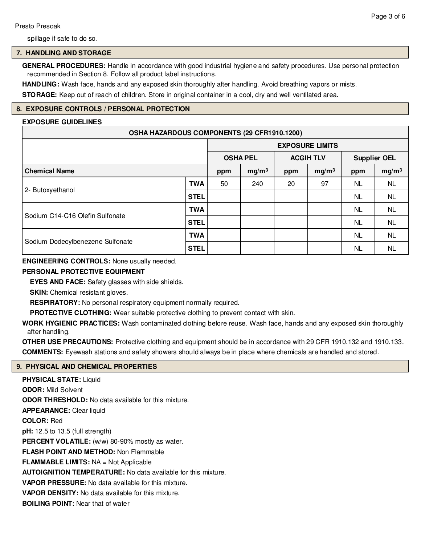spillage if safe to do so.

# **7. HANDLING AND STORAGE**

**GENERAL PROCEDURES:** Handle in accordance with good industrial hygiene and safety procedures. Use personal protection recommended in Section 8. Follow all product label instructions.

**HANDLING:** Wash face, hands and any exposed skin thoroughly after handling. Avoid breathing vapors or mists.

**STORAGE:** Keep out of reach of children. Store in original container in a cool, dry and well ventilated area.

# **8. EXPOSURE CONTROLS / PERSONAL PROTECTION**

# **EXPOSURE GUIDELINES**

| OSHA HAZARDOUS COMPONENTS (29 CFR1910.1200) |                 |     |                   |     |                        |           |                   |
|---------------------------------------------|-----------------|-----|-------------------|-----|------------------------|-----------|-------------------|
|                                             |                 |     |                   |     | <b>EXPOSURE LIMITS</b> |           |                   |
|                                             | <b>OSHA PEL</b> |     | <b>ACGIH TLV</b>  |     | <b>Supplier OEL</b>    |           |                   |
| <b>Chemical Name</b>                        |                 | ppm | mg/m <sup>3</sup> | ppm | mg/m <sup>3</sup>      | ppm       | mg/m <sup>3</sup> |
|                                             | <b>TWA</b>      | 50  | 240               | 20  | 97                     | NL.       | <b>NL</b>         |
| 2- Butoxyethanol                            | <b>STEL</b>     |     |                   |     |                        | NL.       | <b>NL</b>         |
|                                             | <b>TWA</b>      |     |                   |     |                        | <b>NL</b> | <b>NL</b>         |
| Sodium C14-C16 Olefin Sulfonate             | <b>STEL</b>     |     |                   |     |                        | NL.       | <b>NL</b>         |
| Sodium Dodecylbenezene Sulfonate            | <b>TWA</b>      |     |                   |     |                        | <b>NL</b> | <b>NL</b>         |
|                                             | <b>STEL</b>     |     |                   |     |                        | <b>NL</b> | <b>NL</b>         |

# **ENGINEERING CONTROLS:** None usually needed.

### **PERSONAL PROTECTIVE EQUIPMENT**

**EYES AND FACE:** Safety glasses with side shields.

**SKIN:** Chemical resistant gloves.

**RESPIRATORY:** No personal respiratory equipment normally required.

**PROTECTIVE CLOTHING:** Wear suitable protective clothing to prevent contact with skin.

**WORK HYGIENIC PRACTICES:** Wash contaminated clothing before reuse. Wash face, hands and any exposed skin thoroughly after handling.

**OTHER USE PRECAUTIONS:** Protective clothing and equipment should be in accordance with 29 CFR 1910.132 and 1910.133. **COMMENTS:** Eyewash stations and safety showers should always be in place where chemicals are handled and stored.

# **9. PHYSICAL AND CHEMICAL PROPERTIES**

**PHYSICAL STATE:** Liquid **ODOR:** Mild Solvent **ODOR THRESHOLD:** No data available for this mixture. **APPEARANCE:** Clear liquid **COLOR:** Red **pH:** 12.5 to 13.5 (full strength) **PERCENT VOLATILE:** (w/w) 80-90% mostly as water. **FLASH POINT AND METHOD:** Non Flammable **FLAMMABLE LIMITS:** NA = Not Applicable **AUTOIGNITION TEMPERATURE:** No data available for this mixture. **VAPOR PRESSURE:** No data available for this mixture. **VAPOR DENSITY:** No data available for this mixture. **BOILING POINT:** Near that of water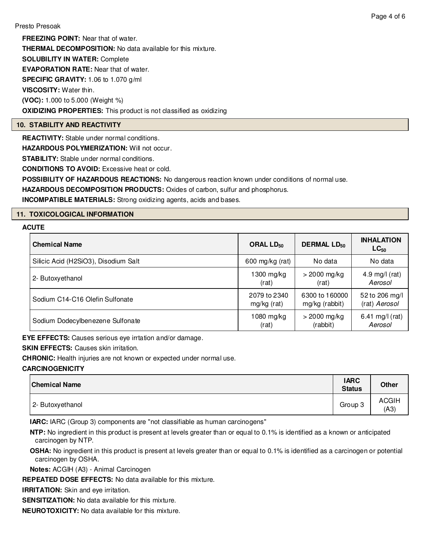**FREEZING POINT:** Near that of water. **THERMAL DECOMPOSITION:** No data available for this mixture. **SOLUBILITY IN WATER:** Complete **EVAPORATION RATE:** Near that of water. **SPECIFIC GRAVITY:** 1.06 to 1.070 g/ml **VISCOSITY:** Water thin. **(VOC):** 1.000 to 5.000 (Weight %) **OXIDIZING PROPERTIES:** This product is not classified as oxidizing

# **10. STABILITY AND REACTIVITY**

**REACTIVITY:** Stable under normal conditions.

**HAZARDOUS POLYMERIZATION: Will not occur.** 

**STABILITY:** Stable under normal conditions.

**CONDITIONS TO AVOID:** Excessive heat or cold.

**POSSIBILITY OF HAZARDOUS REACTIONS:** No dangerous reaction known under conditions of normal use.

**HAZARDOUS DECOMPOSITION PRODUCTS:** Oxides of carbon, sulfur and phosphorus.

**INCOMPATIBLE MATERIALS:** Strong oxidizing agents, acids and bases.

# **11. TOXICOLOGICAL INFORMATION**

#### **ACUTE**

| <b>Chemical Name</b>                 | ORAL $LD_{50}$  | <b>DERMAL LD<sub>50</sub></b> | <b>INHALATION</b><br>$LC_{50}$ |
|--------------------------------------|-----------------|-------------------------------|--------------------------------|
| Silicic Acid (H2SiO3), Disodium Salt | 600 mg/kg (rat) | No data                       | No data                        |
| 2- Butoxyethanol                     | 1300 mg/kg      | $>$ 2000 mg/kg                | 4.9 mg/l $(rat)$               |
|                                      | (rat)           | (rat)                         | Aerosol                        |
| Sodium C14-C16 Olefin Sulfonate      | 2079 to 2340    | 6300 to 160000                | 52 to 206 mg/l                 |
|                                      | mg/kg (rat)     | mg/kg (rabbit)                | (rat) Aerosol                  |
| Sodium Dodecylbenezene Sulfonate     | $1080$ mg/kg    | $>$ 2000 mg/kg                | 6.41 mg/l (rat)                |
|                                      | (rat)           | (rabbit)                      | Aerosol                        |

**EYE EFFECTS:** Causes serious eye irrtation and/or damage.

**SKIN EFFECTS: Causes skin irritation.** 

**CHRONIC:** Health injuries are not known or expected under normal use.

#### **CARCINOGENICITY**

| <b>Chemical Name</b> | <b>IARC</b><br><b>Status</b> | <b>Other</b>         |
|----------------------|------------------------------|----------------------|
| 2- Butoxyethanol     | Group 3                      | <b>ACGIH</b><br>(A3) |

**IARC:** IARC (Group 3) components are "not classifiable as human carcinogens"

**NTP:** No ingredient in this product is present at levels greater than or equal to 0.1% is identified as a known or anticipated carcinogen by NTP.

**OSHA:** No ingredient in this product is present at levels greater than or equal to 0.1% is identified as a carcinogen or potential carcinogen by OSHA.

**Notes:** ACGIH (A3) - Animal Carcinogen

**REPEATED DOSE EFFECTS:** No data available for this mixture.

**IRRITATION:** Skin and eye irritation.

**SENSITIZATION:** No data available for this mixture.

**NEUROTOXICITY:** No data available for this mixture.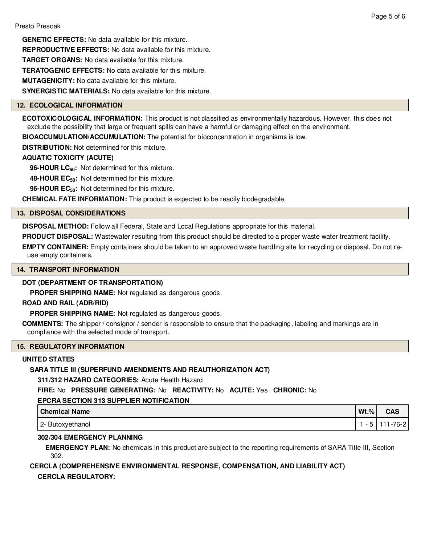**GENETIC EFFECTS:** No data available for this mixture. **REPRODUCTIVE EFFECTS:** No data available for this mixture. **TARGET ORGANS:** No data available for this mixture. **TERATOGENIC EFFECTS:** No data available for this mixture. **MUTAGENICITY:** No data available for this mixture. **SYNERGISTIC MATERIALS:** No data available for this mixture.

# **12. ECOLOGICAL INFORMATION**

**ECOTOXICOLOGICAL INFORMATION:** This product is not classified as environmentally hazardous. However, this does not exclude the possibility that large or frequent spills can have a harmful or damaging effect on the environment.

**BIOACCUMULATION/ACCUMULATION:** The potential for bioconcentration in organisms is low.

**DISTRIBUTION:** Not determined for this mixture.

# **AQUATIC TOXICITY (ACUTE)**

**96-HOUR LC50:** Not determined for this mixture.

**48-HOUR EC50:** Not determined for this mixture.

**96-HOUR EC50:** Not determined for this mixture.

**CHEMICAL FATE INFORMATION:** This product is expected to be readily biodegradable.

#### **13. DISPOSAL CONSIDERATIONS**

**DISPOSAL METHOD:** Follow all Federal, State and Local Regulations appropriate for this material.

**PRODUCT DISPOSAL:** Wastewater resulting from this product should be directed to a proper waste water treatment facility.

**EMPTY CONTAINER:** Empty containers should be taken to an approved waste handling site for recycling or disposal. Do not reuse empty containers.

#### **14. TRANSPORT INFORMATION**

# **DOT (DEPARTMENT OF TRANSPORTATION)**

**PROPER SHIPPING NAME:** Not regulated as dangerous goods.

#### **ROAD AND RAIL (ADR/RID)**

**PROPER SHIPPING NAME:** Not regulated as dangerous goods.

**COMMENTS:** The shipper / consignor / sender is responsible to ensure that the packaging, labeling and markings are in compliance with the selected mode of transport.

#### **15. REGULATORY INFORMATION**

# **UNITED STATES**

# **SARA TITLE III (SUPERFUND AMENDMENTS AND REAUTHORIZATION ACT)**

**311/312 HAZARD CATEGORIES:** Acute Health Hazard

**FIRE:** No **PRESSURE GENERATING:** No **REACTIVITY:** No **ACUTE:** Yes **CHRONIC:** No

# **EPCRA SECTION 313 SUPPLIER NOTIFICATION**

| Chemical Name    | $Wt.\%$ | CAS      |
|------------------|---------|----------|
| 2- Butoxyethanol |         | 111-76-2 |

# **302/304 EMERGENCY PLANNING**

**EMERGENCY PLAN:** No chemicals in this product are subject to the reporting requirements of SARA Title III, Section 302.

# **CERCLA (COMPREHENSIVE ENVIRONMENTAL RESPONSE, COMPENSATION, AND LIABILITY ACT) CERCLA REGULATORY:**